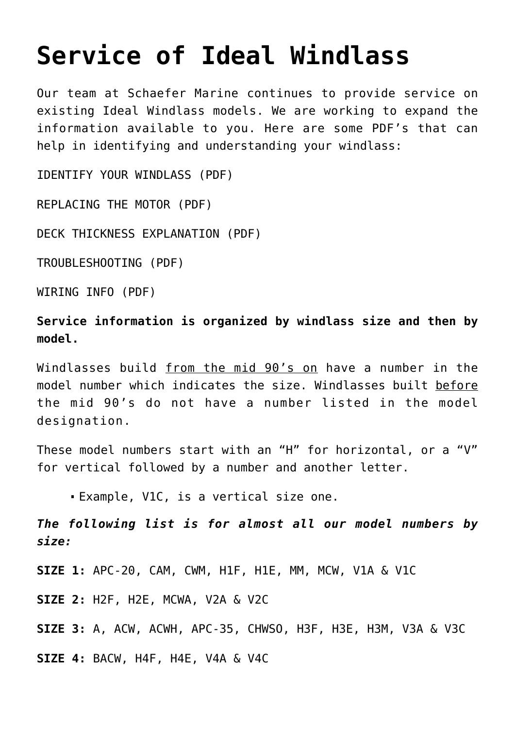## **[Service of Ideal Windlass](https://www.schaefermarine.com/our-products/ideal-windlass/service-ideal-windlass/)**

Our team at Schaefer Marine continues to provide service on existing Ideal Windlass models. We are working to expand the information available to you. Here are some PDF's that can help in identifying and understanding your windlass:

[IDENTIFY YOUR WINDLASS \(PDF\)](https://www.schaefermarine.com/wp-content/uploads/2017/07/IdealWindlass_IDENTIFY-YOUR-WINDLASS.pdf)

[REPLACING THE MOTOR \(PDF\)](https://www.schaefermarine.com/wp-content/uploads/2017/07/IdealWindlass_REPLACING-THE-MOTOR.pdf)

[DECK THICKNESS EXPLANATION \(PDF\)](https://www.schaefermarine.com/wp-content/uploads/2017/07/IdealWindlass_DECK-THICKNESS-EXPLANATION.pdf)

[TROUBLESHOOTING \(PDF\)](https://www.schaefermarine.com/wp-content/uploads/2017/07/IdealWindlass_TROUBLESHOOTING.pdf)

[WIRING INFO \(PDF\)](https://www.schaefermarine.com/wp-content/uploads/2017/07/WIRING-15-PAGES.pdf)

**Service information is organized by windlass size and then by model.**

Windlasses build from the mid 90's on have a number in the model number which indicates the size. Windlasses built before the mid 90's do not have a number listed in the model designation.

These model numbers start with an "H" for horizontal, or a "V" for vertical followed by a number and another letter.

Example, V1C, is a vertical size one.

*The following list is for almost all our model numbers by size:*

**SIZE 1:** APC-20, CAM, CWM, H1F, H1E, MM, MCW, V1A & V1C

**SIZE 2:** H2F, H2E, MCWA, V2A & V2C

**SIZE 3:** A, ACW, ACWH, APC-35, CHWSO, H3F, H3E, H3M, V3A & V3C

**SIZE 4:** BACW, H4F, H4E, V4A & V4C